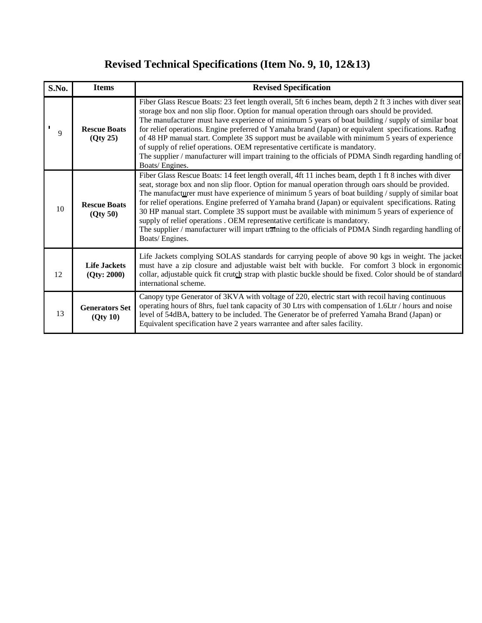## **Revised Technical Specifications (Item No. 9, 10, 12&13)**

| S.No. | <b>Items</b>                       | <b>Revised Specification</b>                                                                                                                                                                                                                                                                                                                                                                                                                                                                                                                                                                                                                                                                                                           |
|-------|------------------------------------|----------------------------------------------------------------------------------------------------------------------------------------------------------------------------------------------------------------------------------------------------------------------------------------------------------------------------------------------------------------------------------------------------------------------------------------------------------------------------------------------------------------------------------------------------------------------------------------------------------------------------------------------------------------------------------------------------------------------------------------|
| 9     | <b>Rescue Boats</b><br>(Qty 25)    | Fiber Glass Rescue Boats: 23 feet length overall, 5ft 6 inches beam, depth 2 ft 3 inches with diver seat<br>storage box and non slip floor. Option for manual operation through oars should be provided.<br>The manufacturer must have experience of minimum 5 years of boat building / supply of similar boat<br>for relief operations. Engine preferred of Yamaha brand (Japan) or equivalent specifications. Rating<br>of 48 HP manual start. Complete 3S support must be available with minimum 5 years of experience<br>of supply of relief operations. OEM representative certificate is mandatory.<br>The supplier / manufacturer will impart training to the officials of PDMA Sindh regarding handling of<br>Boats/Engines.   |
| 10    | <b>Rescue Boats</b><br>(Qty 50)    | Fiber Glass Rescue Boats: 14 feet length overall, 4ft 11 inches beam, depth 1 ft 8 inches with diver<br>seat, storage box and non slip floor. Option for manual operation through oars should be provided.<br>The manufacturer must have experience of minimum 5 years of boat building $/$ supply of similar boat<br>for relief operations. Engine preferred of Yamaha brand (Japan) or equivalent specifications. Rating<br>30 HP manual start. Complete 3S support must be available with minimum 5 years of experience of<br>supply of relief operations . OEM representative certificate is mandatory.<br>The supplier / manufacturer will impart training to the officials of PDMA Sindh regarding handling of<br>Boats/Engines. |
| 12    | <b>Life Jackets</b><br>(Qty: 2000) | Life Jackets complying SOLAS standards for carrying people of above 90 kgs in weight. The jacket<br>must have a zip closure and adjustable waist belt with buckle. For comfort 3 block in ergonomic<br>collar, adjustable quick fit crutch strap with plastic buckle should be fixed. Color should be of standard<br>international scheme.                                                                                                                                                                                                                                                                                                                                                                                             |
| 13    | <b>Generators Set</b><br>(Qty 10)  | Canopy type Generator of 3KVA with voltage of 220, electric start with recoil having continuous<br>operating hours of 8hrs, fuel tank capacity of 30 Ltrs with compensation of 1.6Ltr / hours and noise<br>level of 54dBA, battery to be included. The Generator be of preferred Yamaha Brand (Japan) or<br>Equivalent specification have 2 years warrantee and after sales facility.                                                                                                                                                                                                                                                                                                                                                  |